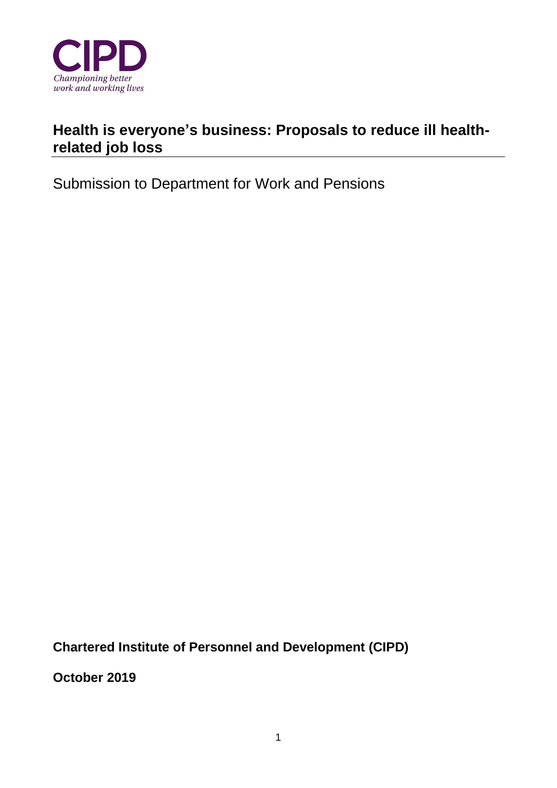

# **Health is everyone's business: Proposals to reduce ill healthrelated job loss**

Submission to Department for Work and Pensions

**Chartered Institute of Personnel and Development (CIPD)** 

**October 2019**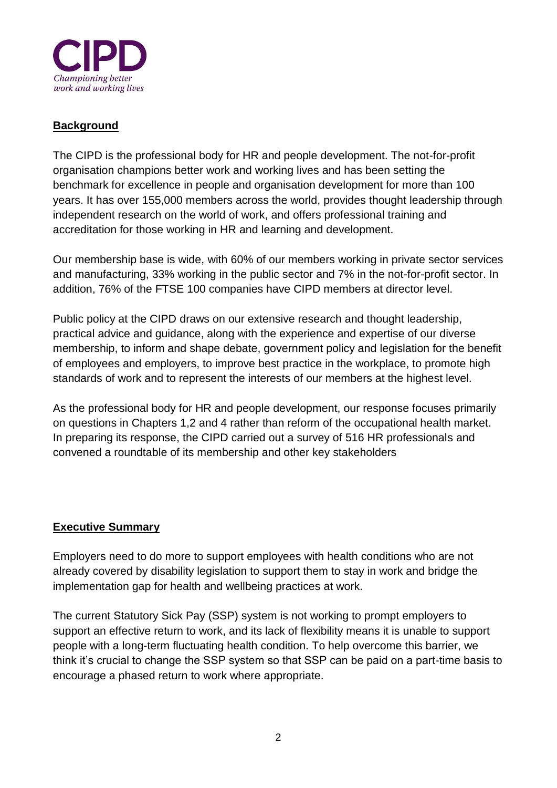

#### **Background**

The CIPD is the professional body for HR and people development. The not-for-profit organisation champions better work and working lives and has been setting the benchmark for excellence in people and organisation development for more than 100 years. It has over 155,000 members across the world, provides thought leadership through independent research on the world of work, and offers professional training and accreditation for those working in HR and learning and development.

Our membership base is wide, with 60% of our members working in private sector services and manufacturing, 33% working in the public sector and 7% in the not-for-profit sector. In addition, 76% of the FTSE 100 companies have CIPD members at director level.

Public policy at the CIPD draws on our extensive research and thought leadership, practical advice and guidance, along with the experience and expertise of our diverse membership, to inform and shape debate, government policy and legislation for the benefit of employees and employers, to improve best practice in the workplace, to promote high standards of work and to represent the interests of our members at the highest level.

As the professional body for HR and people development, our response focuses primarily on questions in Chapters 1,2 and 4 rather than reform of the occupational health market. In preparing its response, the CIPD carried out a survey of 516 HR professionals and convened a roundtable of its membership and other key stakeholders

#### **Executive Summary**

Employers need to do more to support employees with health conditions who are not already covered by disability legislation to support them to stay in work and bridge the implementation gap for health and wellbeing practices at work.

The current Statutory Sick Pay (SSP) system is not working to prompt employers to support an effective return to work, and its lack of flexibility means it is unable to support people with a long-term fluctuating health condition. To help overcome this barrier, we think it's crucial to change the SSP system so that SSP can be paid on a part-time basis to encourage a phased return to work where appropriate.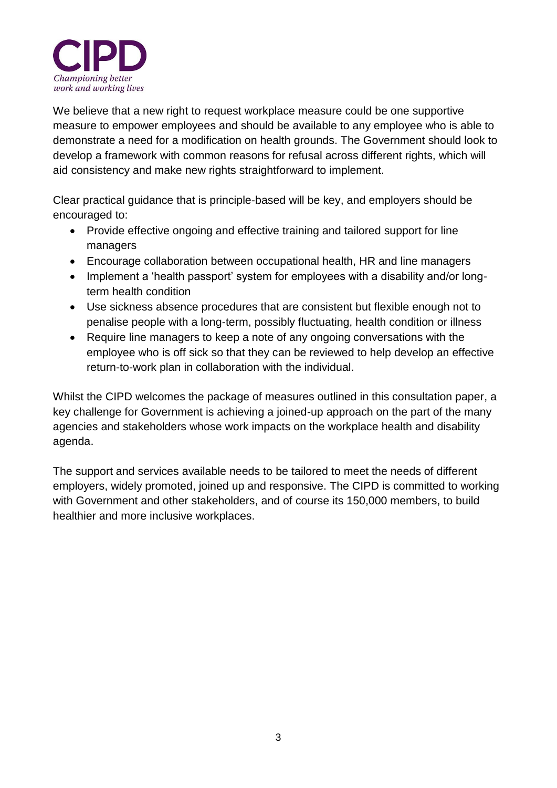

We believe that a new right to request workplace measure could be one supportive measure to empower employees and should be available to any employee who is able to demonstrate a need for a modification on health grounds. The Government should look to develop a framework with common reasons for refusal across different rights, which will aid consistency and make new rights straightforward to implement.

Clear practical guidance that is principle-based will be key, and employers should be encouraged to:

- Provide effective ongoing and effective training and tailored support for line managers
- Encourage collaboration between occupational health, HR and line managers
- Implement a 'health passport' system for employees with a disability and/or longterm health condition
- Use sickness absence procedures that are consistent but flexible enough not to penalise people with a long-term, possibly fluctuating, health condition or illness
- Require line managers to keep a note of any ongoing conversations with the employee who is off sick so that they can be reviewed to help develop an effective return-to-work plan in collaboration with the individual.

Whilst the CIPD welcomes the package of measures outlined in this consultation paper, a key challenge for Government is achieving a joined-up approach on the part of the many agencies and stakeholders whose work impacts on the workplace health and disability agenda.

The support and services available needs to be tailored to meet the needs of different employers, widely promoted, joined up and responsive. The CIPD is committed to working with Government and other stakeholders, and of course its 150,000 members, to build healthier and more inclusive workplaces.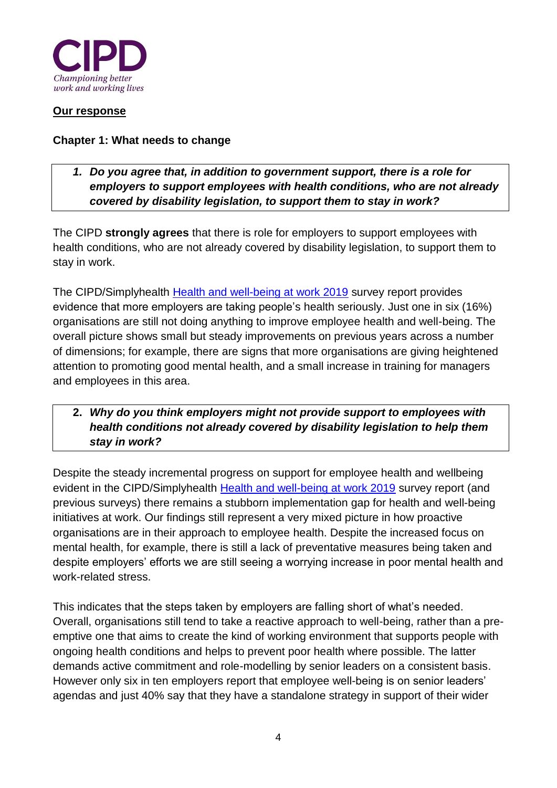

#### **Our response**

#### **Chapter 1: What needs to change**

*1. Do you agree that, in addition to government support, there is a role for employers to support employees with health conditions, who are not already covered by disability legislation, to support them to stay in work?*

The CIPD **strongly agrees** that there is role for employers to support employees with health conditions, who are not already covered by disability legislation, to support them to stay in work.

The CIPD/Simplyhealth [Health and well-being at work 2019](https://www.cipd.co.uk/knowledge/culture/well-being/health-well-being-work) survey report provides evidence that more employers are taking people's health seriously. Just one in six (16%) organisations are still not doing anything to improve employee health and well-being. The overall picture shows small but steady improvements on previous years across a number of dimensions; for example, there are signs that more organisations are giving heightened attention to promoting good mental health, and a small increase in training for managers and employees in this area.

### **2.** *Why do you think employers might not provide support to employees with health conditions not already covered by disability legislation to help them stay in work?*

Despite the steady incremental progress on support for employee health and wellbeing evident in the CIPD/Simplyhealth [Health and well-being at work 2019](https://www.cipd.co.uk/knowledge/culture/well-being/health-well-being-work) survey report (and previous surveys) there remains a stubborn implementation gap for health and well-being initiatives at work. Our findings still represent a very mixed picture in how proactive organisations are in their approach to employee health. Despite the increased focus on mental health, for example, there is still a lack of preventative measures being taken and despite employers' efforts we are still seeing a worrying increase in poor mental health and work-related stress.

This indicates that the steps taken by employers are falling short of what's needed. Overall, organisations still tend to take a reactive approach to well-being, rather than a preemptive one that aims to create the kind of working environment that supports people with ongoing health conditions and helps to prevent poor health where possible. The latter demands active commitment and role-modelling by senior leaders on a consistent basis. However only six in ten employers report that employee well-being is on senior leaders' agendas and just 40% say that they have a standalone strategy in support of their wider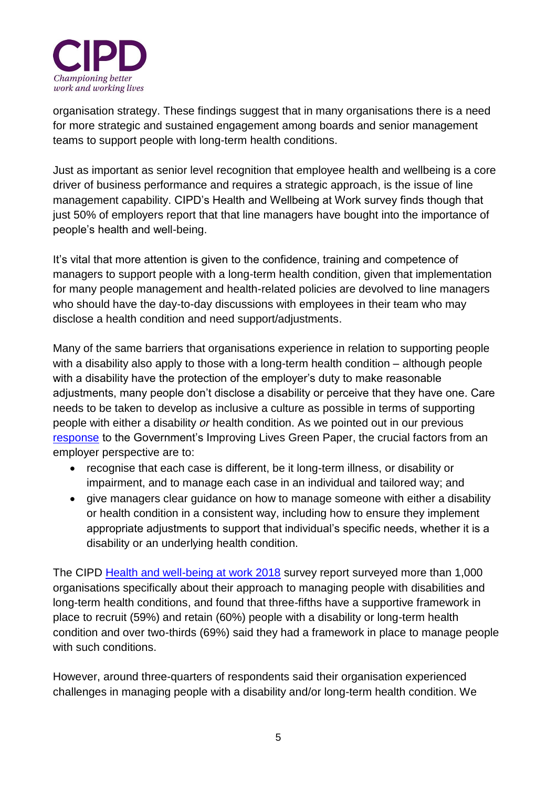

organisation strategy. These findings suggest that in many organisations there is a need for more strategic and sustained engagement among boards and senior management teams to support people with long-term health conditions.

Just as important as senior level recognition that employee health and wellbeing is a core driver of business performance and requires a strategic approach, is the issue of line management capability. CIPD's Health and Wellbeing at Work survey finds though that just 50% of employers report that that line managers have bought into the importance of people's health and well-being.

It's vital that more attention is given to the confidence, training and competence of managers to support people with a long-term health condition, given that implementation for many people management and health-related policies are devolved to line managers who should have the day-to-day discussions with employees in their team who may disclose a health condition and need support/adjustments.

Many of the same barriers that organisations experience in relation to supporting people with a disability also apply to those with a long-term health condition – although people with a disability have the protection of the employer's duty to make reasonable adjustments, many people don't disclose a disability or perceive that they have one. Care needs to be taken to develop as inclusive a culture as possible in terms of supporting people with either a disability *or* health condition. As we pointed out in our previous [response](https://www.cipd.co.uk/news-views/policy-engagement/consultations/work-health-disability) to the Government's Improving Lives Green Paper, the crucial factors from an employer perspective are to:

- recognise that each case is different, be it long-term illness, or disability or impairment, and to manage each case in an individual and tailored way; and
- give managers clear guidance on how to manage someone with either a disability or health condition in a consistent way, including how to ensure they implement appropriate adjustments to support that individual's specific needs, whether it is a disability or an underlying health condition.

The CIPD [Health and well-being at work 2018](https://www.cipd.co.uk/Images/health-and-well-being-at-work_tcm18-40863.pdf) survey report surveyed more than 1,000 organisations specifically about their approach to managing people with disabilities and long-term health conditions, and found that three-fifths have a supportive framework in place to recruit (59%) and retain (60%) people with a disability or long-term health condition and over two-thirds (69%) said they had a framework in place to manage people with such conditions.

However, around three-quarters of respondents said their organisation experienced challenges in managing people with a disability and/or long-term health condition. We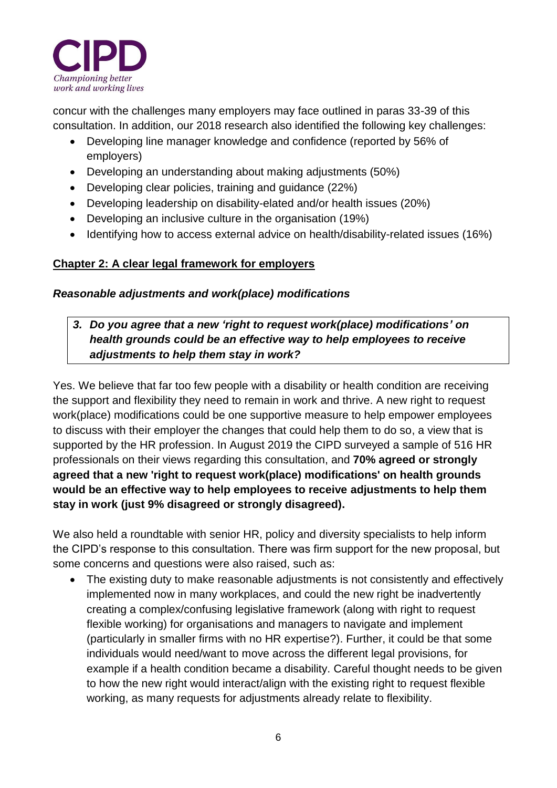

concur with the challenges many employers may face outlined in paras 33-39 of this consultation. In addition, our 2018 research also identified the following key challenges:

- Developing line manager knowledge and confidence (reported by 56% of employers)
- Developing an understanding about making adjustments (50%)
- Developing clear policies, training and guidance (22%)
- Developing leadership on disability-elated and/or health issues (20%)
- Developing an inclusive culture in the organisation (19%)
- Identifying how to access external advice on health/disability-related issues (16%)

# **Chapter 2: A clear legal framework for employers**

# *Reasonable adjustments and work(place) modifications*

# *3. Do you agree that a new 'right to request work(place) modifications' on health grounds could be an effective way to help employees to receive adjustments to help them stay in work?*

Yes. We believe that far too few people with a disability or health condition are receiving the support and flexibility they need to remain in work and thrive. A new right to request work(place) modifications could be one supportive measure to help empower employees to discuss with their employer the changes that could help them to do so, a view that is supported by the HR profession. In August 2019 the CIPD surveyed a sample of 516 HR professionals on their views regarding this consultation, and **70% agreed or strongly agreed that a new 'right to request work(place) modifications' on health grounds would be an effective way to help employees to receive adjustments to help them stay in work (just 9% disagreed or strongly disagreed).**

We also held a roundtable with senior HR, policy and diversity specialists to help inform the CIPD's response to this consultation. There was firm support for the new proposal, but some concerns and questions were also raised, such as:

• The existing duty to make reasonable adiustments is not consistently and effectively implemented now in many workplaces, and could the new right be inadvertently creating a complex/confusing legislative framework (along with right to request flexible working) for organisations and managers to navigate and implement (particularly in smaller firms with no HR expertise?). Further, it could be that some individuals would need/want to move across the different legal provisions, for example if a health condition became a disability. Careful thought needs to be given to how the new right would interact/align with the existing right to request flexible working, as many requests for adjustments already relate to flexibility.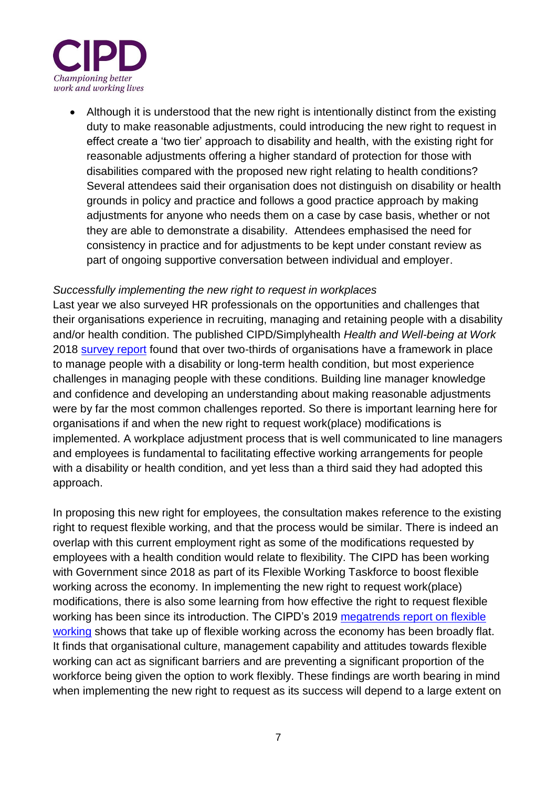

• Although it is understood that the new right is intentionally distinct from the existing duty to make reasonable adjustments, could introducing the new right to request in effect create a 'two tier' approach to disability and health, with the existing right for reasonable adjustments offering a higher standard of protection for those with disabilities compared with the proposed new right relating to health conditions? Several attendees said their organisation does not distinguish on disability or health grounds in policy and practice and follows a good practice approach by making adjustments for anyone who needs them on a case by case basis, whether or not they are able to demonstrate a disability. Attendees emphasised the need for consistency in practice and for adjustments to be kept under constant review as part of ongoing supportive conversation between individual and employer.

#### *Successfully implementing the new right to request in workplaces*

Last year we also surveyed HR professionals on the opportunities and challenges that their organisations experience in recruiting, managing and retaining people with a disability and/or health condition. The published CIPD/Simplyhealth *Health and Well-being at Work* 2018 [survey report](https://www.cipd.co.uk/Images/health-and-well-being-at-work_tcm18-40863.pdf) found that over two-thirds of organisations have a framework in place to manage people with a disability or long-term health condition, but most experience challenges in managing people with these conditions. Building line manager knowledge and confidence and developing an understanding about making reasonable adjustments were by far the most common challenges reported. So there is important learning here for organisations if and when the new right to request work(place) modifications is implemented. A workplace adjustment process that is well communicated to line managers and employees is fundamental to facilitating effective working arrangements for people with a disability or health condition, and yet less than a third said they had adopted this approach.

In proposing this new right for employees, the consultation makes reference to the existing right to request flexible working, and that the process would be similar. There is indeed an overlap with this current employment right as some of the modifications requested by employees with a health condition would relate to flexibility. The CIPD has been working with Government since 2018 as part of its Flexible Working Taskforce to boost flexible working across the economy. In implementing the new right to request work(place) modifications, there is also some learning from how effective the right to request flexible working has been since its introduction. The CIPD's 2019 [megatrends report on flexible](https://www.cipd.co.uk/knowledge/work/trends/megatrends/flexible-working)  [working](https://www.cipd.co.uk/knowledge/work/trends/megatrends/flexible-working) shows that take up of flexible working across the economy has been broadly flat. It finds that organisational culture, management capability and attitudes towards flexible working can act as significant barriers and are preventing a significant proportion of the workforce being given the option to work flexibly. These findings are worth bearing in mind when implementing the new right to request as its success will depend to a large extent on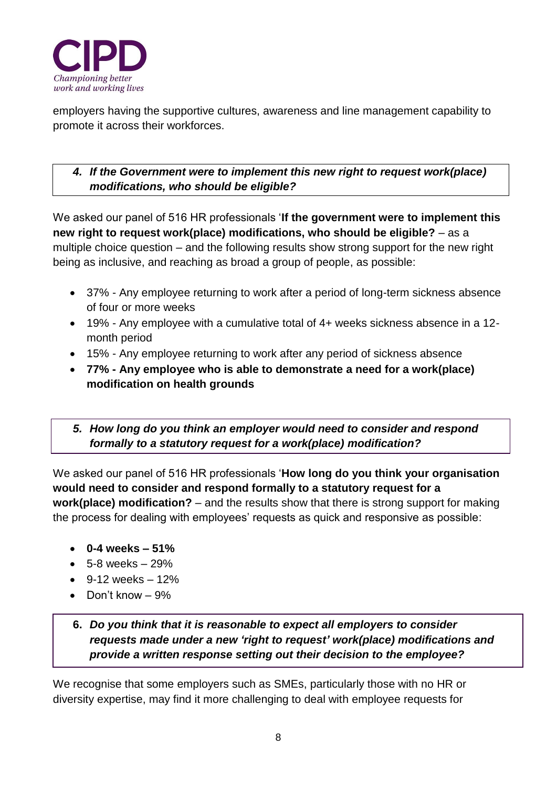

employers having the supportive cultures, awareness and line management capability to promote it across their workforces.

# *4. If the Government were to implement this new right to request work(place) modifications, who should be eligible?*

We asked our panel of 516 HR professionals '**If the government were to implement this new right to request work(place) modifications, who should be eligible?** – as a multiple choice question – and the following results show strong support for the new right being as inclusive, and reaching as broad a group of people, as possible:

- 37% Any employee returning to work after a period of long-term sickness absence of four or more weeks
- 19% Any employee with a cumulative total of 4+ weeks sickness absence in a 12 month period
- 15% Any employee returning to work after any period of sickness absence
- **77% - Any employee who is able to demonstrate a need for a work(place) modification on health grounds**

# *5. How long do you think an employer would need to consider and respond formally to a statutory request for a work(place) modification?*

We asked our panel of 516 HR professionals '**How long do you think your organisation would need to consider and respond formally to a statutory request for a work(place) modification?** – and the results show that there is strong support for making the process for dealing with employees' requests as quick and responsive as possible:

- **0-4 weeks – 51%**
- $5-8 weeks 29%$
- $\bullet$  9-12 weeks  $-12\%$
- Don't know 9%

# **6.** *Do you think that it is reasonable to expect all employers to consider requests made under a new 'right to request' work(place) modifications and provide a written response setting out their decision to the employee?*

We recognise that some employers such as SMEs, particularly those with no HR or diversity expertise, may find it more challenging to deal with employee requests for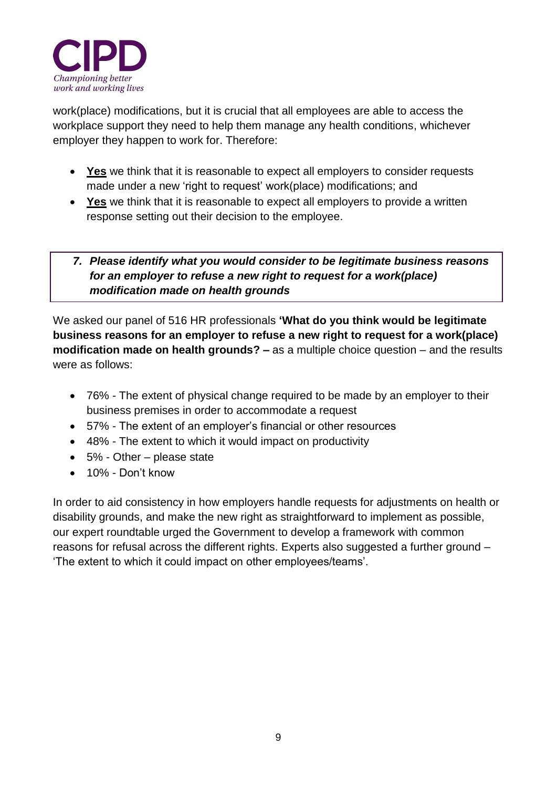

work(place) modifications, but it is crucial that all employees are able to access the workplace support they need to help them manage any health conditions, whichever employer they happen to work for. Therefore:

- **Yes** we think that it is reasonable to expect all employers to consider requests made under a new 'right to request' work(place) modifications; and
- **Yes** we think that it is reasonable to expect all employers to provide a written response setting out their decision to the employee.
- *7. Please identify what you would consider to be legitimate business reasons for an employer to refuse a new right to request for a work(place) modification made on health grounds*

We asked our panel of 516 HR professionals **'What do you think would be legitimate business reasons for an employer to refuse a new right to request for a work(place) modification made on health grounds? –** as a multiple choice question – and the results were as follows:

- 76% The extent of physical change required to be made by an employer to their business premises in order to accommodate a request
- 57% The extent of an employer's financial or other resources
- 48% The extent to which it would impact on productivity
- 5% Other please state
- 10% Don't know

In order to aid consistency in how employers handle requests for adjustments on health or disability grounds, and make the new right as straightforward to implement as possible, our expert roundtable urged the Government to develop a framework with common reasons for refusal across the different rights. Experts also suggested a further ground – 'The extent to which it could impact on other employees/teams'.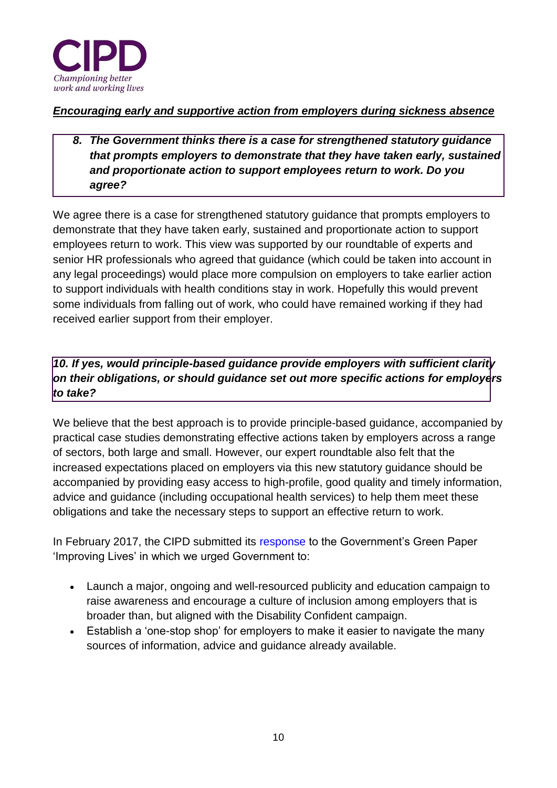

### *Encouraging early and supportive action from employers during sickness absence*

# *8. The Government thinks there is a case for strengthened statutory guidance that prompts employers to demonstrate that they have taken early, sustained and proportionate action to support employees return to work. Do you agree?*

We agree there is a case for strengthened statutory guidance that prompts employers to demonstrate that they have taken early, sustained and proportionate action to support employees return to work. This view was supported by our roundtable of experts and senior HR professionals who agreed that guidance (which could be taken into account in any legal proceedings) would place more compulsion on employers to take earlier action to support individuals with health conditions stay in work. Hopefully this would prevent some individuals from falling out of work, who could have remained working if they had received earlier support from their employer.

# *10. If yes, would principle-based guidance provide employers with sufficient clarity on their obligations, or should guidance set out more specific actions for employers to take?*

We believe that the best approach is to provide principle-based guidance, accompanied by practical case studies demonstrating effective actions taken by employers across a range of sectors, both large and small. However, our expert roundtable also felt that the increased expectations placed on employers via this new statutory guidance should be accompanied by providing easy access to high-profile, good quality and timely information, advice and guidance (including occupational health services) to help them meet these obligations and take the necessary steps to support an effective return to work.

In February 2017, the CIPD submitted its [response](file://///cipdhouse.co.uk/shares/Research%20and%20Policy/Public%20Affairs/Public%20Affairs%20-%20Post%20June%202017/Consultations/ww.cipd.co.uk/news-views/policy-engagement/consultations/work-health-disability) to the Government's Green Paper 'Improving Lives' in which we urged Government to:

- Launch a major, ongoing and well-resourced publicity and education campaign to raise awareness and encourage a culture of inclusion among employers that is broader than, but aligned with the Disability Confident campaign.
- Establish a 'one-stop shop' for employers to make it easier to navigate the many sources of information, advice and guidance already available.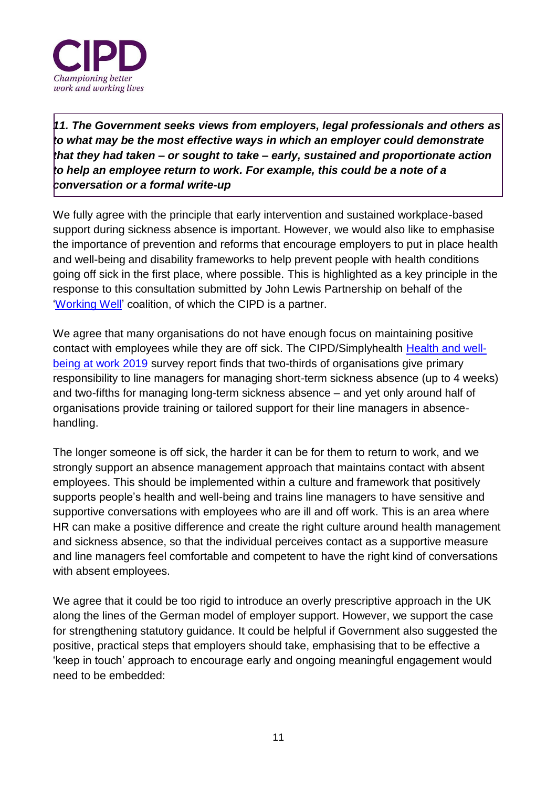

*11. The Government seeks views from employers, legal professionals and others as to what may be the most effective ways in which an employer could demonstrate that they had taken – or sought to take – early, sustained and proportionate action to help an employee return to work. For example, this could be a note of a conversation or a formal write-up*

We fully agree with the principle that early intervention and sustained workplace-based support during sickness absence is important. However, we would also like to emphasise the importance of prevention and reforms that encourage employers to put in place health and well-being and disability frameworks to help prevent people with health conditions going off sick in the first place, where possible. This is highlighted as a key principle in the response to this consultation submitted by John Lewis Partnership on behalf of the ['Working Well'](https://www.johnlewispartnership.co.uk/csr/workingwell.html) coalition, of which the CIPD is a partner.

We agree that many organisations do not have enough focus on maintaining positive contact with employees while they are off sick. The CIPD/Simplyhealth [Health and well](https://www.cipd.co.uk/knowledge/culture/well-being/health-well-being-work)[being at work 2019](https://www.cipd.co.uk/knowledge/culture/well-being/health-well-being-work) survey report finds that two-thirds of organisations give primary responsibility to line managers for managing short-term sickness absence (up to 4 weeks) and two-fifths for managing long-term sickness absence – and yet only around half of organisations provide training or tailored support for their line managers in absencehandling.

The longer someone is off sick, the harder it can be for them to return to work, and we strongly support an absence management approach that maintains contact with absent employees. This should be implemented within a culture and framework that positively supports people's health and well-being and trains line managers to have sensitive and supportive conversations with employees who are ill and off work. This is an area where HR can make a positive difference and create the right culture around health management and sickness absence, so that the individual perceives contact as a supportive measure and line managers feel comfortable and competent to have the right kind of conversations with absent employees.

We agree that it could be too rigid to introduce an overly prescriptive approach in the UK along the lines of the German model of employer support. However, we support the case for strengthening statutory guidance. It could be helpful if Government also suggested the positive, practical steps that employers should take, emphasising that to be effective a 'keep in touch' approach to encourage early and ongoing meaningful engagement would need to be embedded: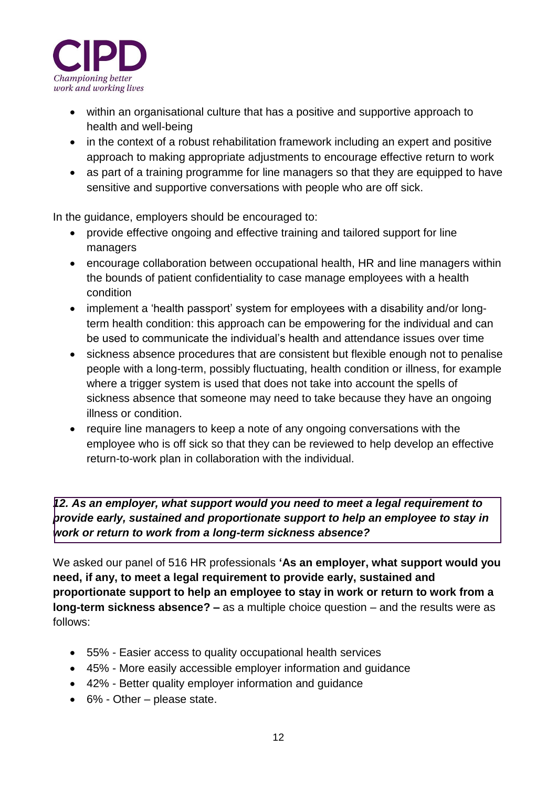

- within an organisational culture that has a positive and supportive approach to health and well-being
- in the context of a robust rehabilitation framework including an expert and positive approach to making appropriate adjustments to encourage effective return to work
- as part of a training programme for line managers so that they are equipped to have sensitive and supportive conversations with people who are off sick.

In the guidance, employers should be encouraged to:

- provide effective ongoing and effective training and tailored support for line managers
- encourage collaboration between occupational health, HR and line managers within the bounds of patient confidentiality to case manage employees with a health condition
- implement a 'health passport' system for employees with a disability and/or longterm health condition: this approach can be empowering for the individual and can be used to communicate the individual's health and attendance issues over time
- sickness absence procedures that are consistent but flexible enough not to penalise people with a long-term, possibly fluctuating, health condition or illness, for example where a trigger system is used that does not take into account the spells of sickness absence that someone may need to take because they have an ongoing illness or condition.
- require line managers to keep a note of any ongoing conversations with the employee who is off sick so that they can be reviewed to help develop an effective return-to-work plan in collaboration with the individual.

*12. As an employer, what support would you need to meet a legal requirement to provide early, sustained and proportionate support to help an employee to stay in work or return to work from a long-term sickness absence?*

We asked our panel of 516 HR professionals **'As an employer, what support would you need, if any, to meet a legal requirement to provide early, sustained and proportionate support to help an employee to stay in work or return to work from a long-term sickness absence? –** as a multiple choice question – and the results were as follows:

- 55% Easier access to quality occupational health services
- 45% More easily accessible employer information and guidance
- 42% Better quality employer information and guidance
- 6% Other please state.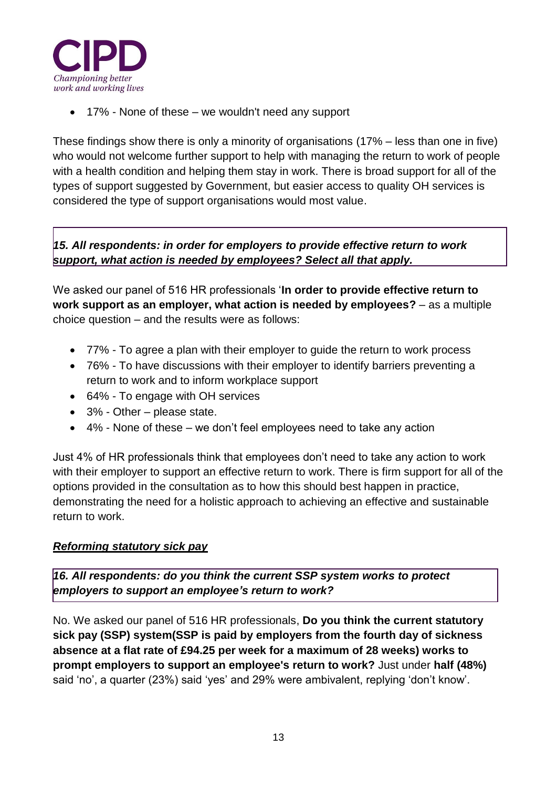

• 17% - None of these – we wouldn't need any support

These findings show there is only a minority of organisations (17% – less than one in five) who would not welcome further support to help with managing the return to work of people with a health condition and helping them stay in work. There is broad support for all of the types of support suggested by Government, but easier access to quality OH services is considered the type of support organisations would most value.

*15. All respondents: in order for employers to provide effective return to work support, what action is needed by employees? Select all that apply.* 

We asked our panel of 516 HR professionals '**In order to provide effective return to work support as an employer, what action is needed by employees?** – as a multiple choice question – and the results were as follows:

- 77% To agree a plan with their employer to guide the return to work process
- 76% To have discussions with their employer to identify barriers preventing a return to work and to inform workplace support
- 64% To engage with OH services
- 3% Other please state.
- $\bullet$  4% None of these we don't feel employees need to take any action

Just 4% of HR professionals think that employees don't need to take any action to work with their employer to support an effective return to work. There is firm support for all of the options provided in the consultation as to how this should best happen in practice, demonstrating the need for a holistic approach to achieving an effective and sustainable return to work.

#### *Reforming statutory sick pay*

*16. All respondents: do you think the current SSP system works to protect employers to support an employee's return to work?* 

No. We asked our panel of 516 HR professionals, **Do you think the current statutory sick pay (SSP) system(SSP is paid by employers from the fourth day of sickness absence at a flat rate of £94.25 per week for a maximum of 28 weeks) works to prompt employers to support an employee's return to work?** Just under **half (48%)**  said 'no', a quarter (23%) said 'yes' and 29% were ambivalent, replying 'don't know'.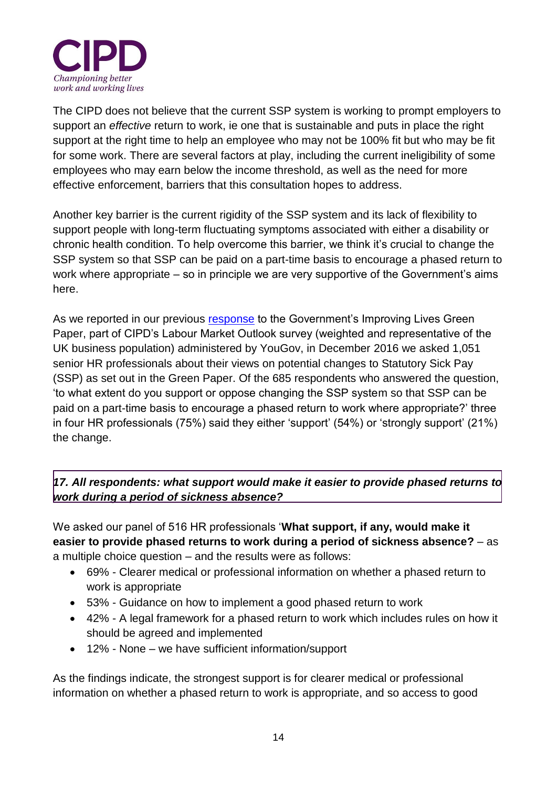

The CIPD does not believe that the current SSP system is working to prompt employers to support an *effective* return to work, ie one that is sustainable and puts in place the right support at the right time to help an employee who may not be 100% fit but who may be fit for some work. There are several factors at play, including the current ineligibility of some employees who may earn below the income threshold, as well as the need for more effective enforcement, barriers that this consultation hopes to address.

Another key barrier is the current rigidity of the SSP system and its lack of flexibility to support people with long-term fluctuating symptoms associated with either a disability or chronic health condition. To help overcome this barrier, we think it's crucial to change the SSP system so that SSP can be paid on a part-time basis to encourage a phased return to work where appropriate – so in principle we are very supportive of the Government's aims here.

As we reported in our previous [response](https://www.cipd.co.uk/news-views/policy-engagement/consultations/work-health-disability) to the Government's Improving Lives Green Paper, part of CIPD's Labour Market Outlook survey (weighted and representative of the UK business population) administered by YouGov, in December 2016 we asked 1,051 senior HR professionals about their views on potential changes to Statutory Sick Pay (SSP) as set out in the Green Paper. Of the 685 respondents who answered the question, 'to what extent do you support or oppose changing the SSP system so that SSP can be paid on a part-time basis to encourage a phased return to work where appropriate?' three in four HR professionals (75%) said they either 'support' (54%) or 'strongly support' (21%) the change.

### *17. All respondents: what support would make it easier to provide phased returns to work during a period of sickness absence?*

We asked our panel of 516 HR professionals '**What support, if any, would make it easier to provide phased returns to work during a period of sickness absence?** – as a multiple choice question – and the results were as follows:

- 69% Clearer medical or professional information on whether a phased return to work is appropriate
- 53% Guidance on how to implement a good phased return to work
- 42% A legal framework for a phased return to work which includes rules on how it should be agreed and implemented
- 12% None we have sufficient information/support

As the findings indicate, the strongest support is for clearer medical or professional information on whether a phased return to work is appropriate, and so access to good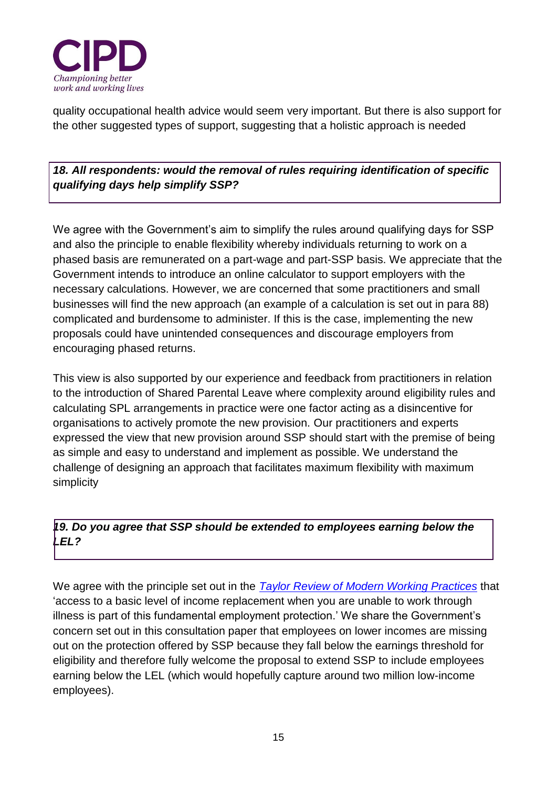

quality occupational health advice would seem very important. But there is also support for the other suggested types of support, suggesting that a holistic approach is needed

*18. All respondents: would the removal of rules requiring identification of specific qualifying days help simplify SSP?*

We agree with the Government's aim to simplify the rules around qualifying days for SSP and also the principle to enable flexibility whereby individuals returning to work on a phased basis are remunerated on a part-wage and part-SSP basis. We appreciate that the Government intends to introduce an online calculator to support employers with the necessary calculations. However, we are concerned that some practitioners and small businesses will find the new approach (an example of a calculation is set out in para 88) complicated and burdensome to administer. If this is the case, implementing the new proposals could have unintended consequences and discourage employers from encouraging phased returns.

This view is also supported by our experience and feedback from practitioners in relation to the introduction of Shared Parental Leave where complexity around eligibility rules and calculating SPL arrangements in practice were one factor acting as a disincentive for organisations to actively promote the new provision. Our practitioners and experts expressed the view that new provision around SSP should start with the premise of being as simple and easy to understand and implement as possible. We understand the challenge of designing an approach that facilitates maximum flexibility with maximum simplicity

# *19. Do you agree that SSP should be extended to employees earning below the LEL?*

We agree with the principle set out in the *[Taylor Review of Modern Working Practices](https://www.gov.uk/government/publications/good-work-the-taylor-review-of-modern-working-practices)* that 'access to a basic level of income replacement when you are unable to work through illness is part of this fundamental employment protection.' We share the Government's concern set out in this consultation paper that employees on lower incomes are missing out on the protection offered by SSP because they fall below the earnings threshold for eligibility and therefore fully welcome the proposal to extend SSP to include employees earning below the LEL (which would hopefully capture around two million low-income employees).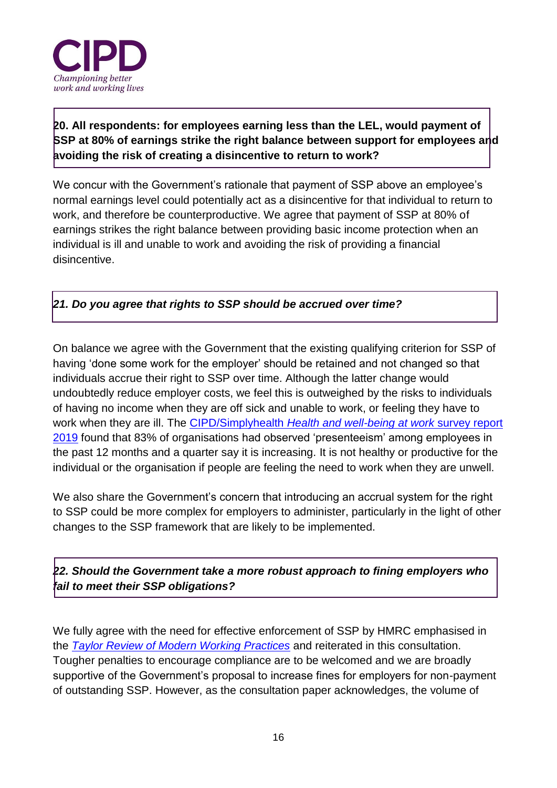

**20. All respondents: for employees earning less than the LEL, would payment of SSP at 80% of earnings strike the right balance between support for employees and avoiding the risk of creating a disincentive to return to work?** 

We concur with the Government's rationale that payment of SSP above an employee's normal earnings level could potentially act as a disincentive for that individual to return to work, and therefore be counterproductive. We agree that payment of SSP at 80% of earnings strikes the right balance between providing basic income protection when an individual is ill and unable to work and avoiding the risk of providing a financial disincentive.

### *21. Do you agree that rights to SSP should be accrued over time?*

On balance we agree with the Government that the existing qualifying criterion for SSP of having 'done some work for the employer' should be retained and not changed so that individuals accrue their right to SSP over time. Although the latter change would undoubtedly reduce employer costs, we feel this is outweighed by the risks to individuals of having no income when they are off sick and unable to work, or feeling they have to work when they are ill. The CIPD/Simplyhealth *[Health and well-being at work](https://www.cipd.co.uk/knowledge/culture/well-being/health-well-being-work)* survey report [2019](https://www.cipd.co.uk/knowledge/culture/well-being/health-well-being-work) found that 83% of organisations had observed 'presenteeism' among employees in the past 12 months and a quarter say it is increasing. It is not healthy or productive for the individual or the organisation if people are feeling the need to work when they are unwell.

We also share the Government's concern that introducing an accrual system for the right to SSP could be more complex for employers to administer, particularly in the light of other changes to the SSP framework that are likely to be implemented.

*22. Should the Government take a more robust approach to fining employers who fail to meet their SSP obligations?* 

We fully agree with the need for effective enforcement of SSP by HMRC emphasised in the *[Taylor Review of Modern Working Practices](https://www.gov.uk/government/publications/good-work-the-taylor-review-of-modern-working-practices)* and reiterated in this consultation. Tougher penalties to encourage compliance are to be welcomed and we are broadly supportive of the Government's proposal to increase fines for employers for non-payment of outstanding SSP. However, as the consultation paper acknowledges, the volume of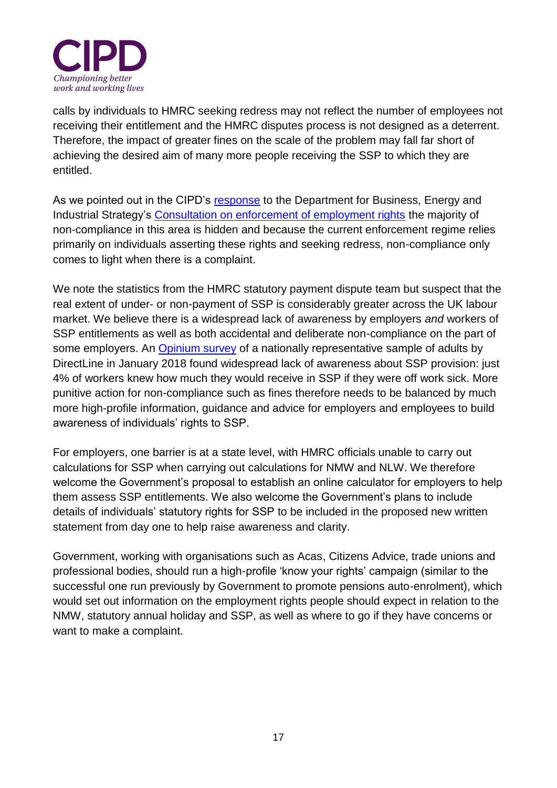

calls by individuals to HMRC seeking redress may not reflect the number of employees not receiving their entitlement and the HMRC disputes process is not designed as a deterrent. Therefore, the impact of greater fines on the scale of the problem may fall far short of achieving the desired aim of many more people receiving the SSP to which they are entitled.

As we pointed out in the CIPD's [response](https://www.cipd.co.uk/Images/cipd-submission-to-beis-on-enforcement-of-employment-rights_tcm18-42615.pd) to the Department for Business, Energy and Industrial Strategy's [Consultation on enforcement of employment rights](https://www.gov.uk/government/consultations/enforcement-of-employment-rights-recommendations) the majority of non-compliance in this area is hidden and because the current enforcement regime relies primarily on individuals asserting these rights and seeking redress, non-compliance only comes to light when there is a complaint.

We note the statistics from the HMRC statutory payment dispute team but suspect that the real extent of under- or non-payment of SSP is considerably greater across the UK labour market. We believe there is a widespread lack of awareness by employers *and* workers of SSP entitlements as well as both accidental and deliberate non-compliance on the part of some employers. An [Opinium survey](https://www.directlinegroup.co.uk/en/news/brand-news/2018/brits-in-the-dark-over-sick-pay.html) of a nationally representative sample of adults by DirectLine in January 2018 found widespread lack of awareness about SSP provision: just 4% of workers knew how much they would receive in SSP if they were off work sick. More punitive action for non-compliance such as fines therefore needs to be balanced by much more high-profile information, guidance and advice for employers and employees to build awareness of individuals' rights to SSP.

For employers, one barrier is at a state level, with HMRC officials unable to carry out calculations for SSP when carrying out calculations for NMW and NLW. We therefore welcome the Government's proposal to establish an online calculator for employers to help them assess SSP entitlements. We also welcome the Government's plans to include details of individuals' statutory rights for SSP to be included in the proposed new written statement from day one to help raise awareness and clarity.

Government, working with organisations such as Acas, Citizens Advice, trade unions and professional bodies, should run a high-profile 'know your rights' campaign (similar to the successful one run previously by Government to promote pensions auto-enrolment), which would set out information on the employment rights people should expect in relation to the NMW, statutory annual holiday and SSP, as well as where to go if they have concerns or want to make a complaint.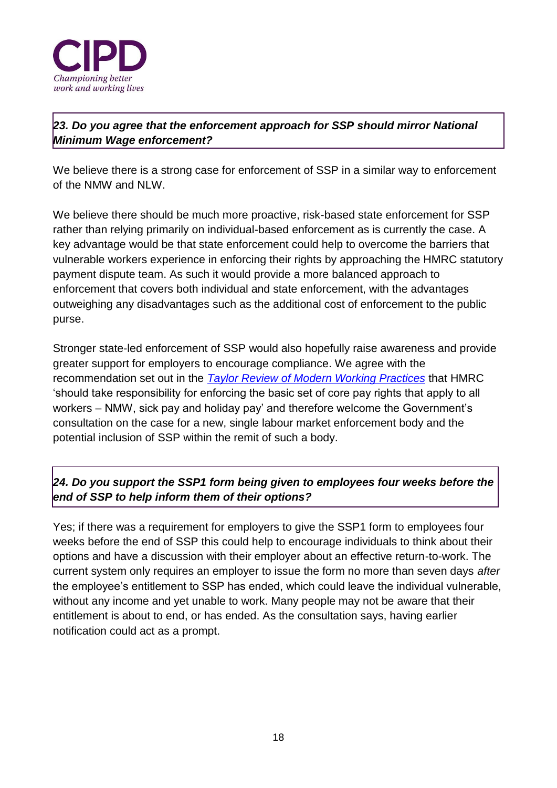

# *23. Do you agree that the enforcement approach for SSP should mirror National Minimum Wage enforcement?*

We believe there is a strong case for enforcement of SSP in a similar way to enforcement of the NMW and NLW.

We believe there should be much more proactive, risk-based state enforcement for SSP rather than relying primarily on individual-based enforcement as is currently the case. A key advantage would be that state enforcement could help to overcome the barriers that vulnerable workers experience in enforcing their rights by approaching the HMRC statutory payment dispute team. As such it would provide a more balanced approach to enforcement that covers both individual and state enforcement, with the advantages outweighing any disadvantages such as the additional cost of enforcement to the public purse.

Stronger state-led enforcement of SSP would also hopefully raise awareness and provide greater support for employers to encourage compliance. We agree with the recommendation set out in the *[Taylor Review of Modern Working Practices](https://www.gov.uk/government/publications/good-work-the-taylor-review-of-modern-working-practices)* that HMRC 'should take responsibility for enforcing the basic set of core pay rights that apply to all workers – NMW, sick pay and holiday pay' and therefore welcome the Government's consultation on the case for a new, single labour market enforcement body and the potential inclusion of SSP within the remit of such a body.

# *24. Do you support the SSP1 form being given to employees four weeks before the end of SSP to help inform them of their options?*

Yes; if there was a requirement for employers to give the SSP1 form to employees four weeks before the end of SSP this could help to encourage individuals to think about their options and have a discussion with their employer about an effective return-to-work. The current system only requires an employer to issue the form no more than seven days *after* the employee's entitlement to SSP has ended, which could leave the individual vulnerable, without any income and yet unable to work. Many people may not be aware that their entitlement is about to end, or has ended. As the consultation says, having earlier notification could act as a prompt.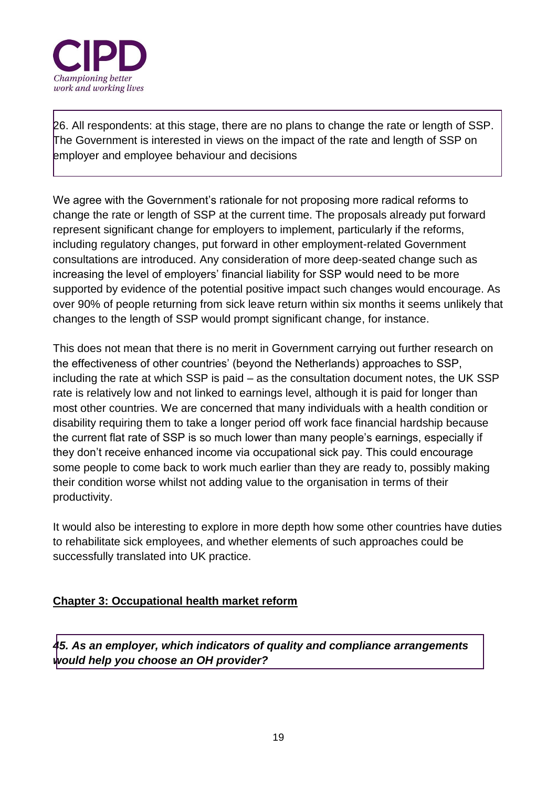

26. All respondents: at this stage, there are no plans to change the rate or length of SSP. The Government is interested in views on the impact of the rate and length of SSP on employer and employee behaviour and decisions

We agree with the Government's rationale for not proposing more radical reforms to change the rate or length of SSP at the current time. The proposals already put forward represent significant change for employers to implement, particularly if the reforms, including regulatory changes, put forward in other employment-related Government consultations are introduced. Any consideration of more deep-seated change such as increasing the level of employers' financial liability for SSP would need to be more supported by evidence of the potential positive impact such changes would encourage. As over 90% of people returning from sick leave return within six months it seems unlikely that changes to the length of SSP would prompt significant change, for instance.

This does not mean that there is no merit in Government carrying out further research on the effectiveness of other countries' (beyond the Netherlands) approaches to SSP, including the rate at which SSP is paid – as the consultation document notes, the UK SSP rate is relatively low and not linked to earnings level, although it is paid for longer than most other countries. We are concerned that many individuals with a health condition or disability requiring them to take a longer period off work face financial hardship because the current flat rate of SSP is so much lower than many people's earnings, especially if they don't receive enhanced income via occupational sick pay. This could encourage some people to come back to work much earlier than they are ready to, possibly making their condition worse whilst not adding value to the organisation in terms of their productivity.

It would also be interesting to explore in more depth how some other countries have duties to rehabilitate sick employees, and whether elements of such approaches could be successfully translated into UK practice.

#### **Chapter 3: Occupational health market reform**

*45. As an employer, which indicators of quality and compliance arrangements would help you choose an OH provider?*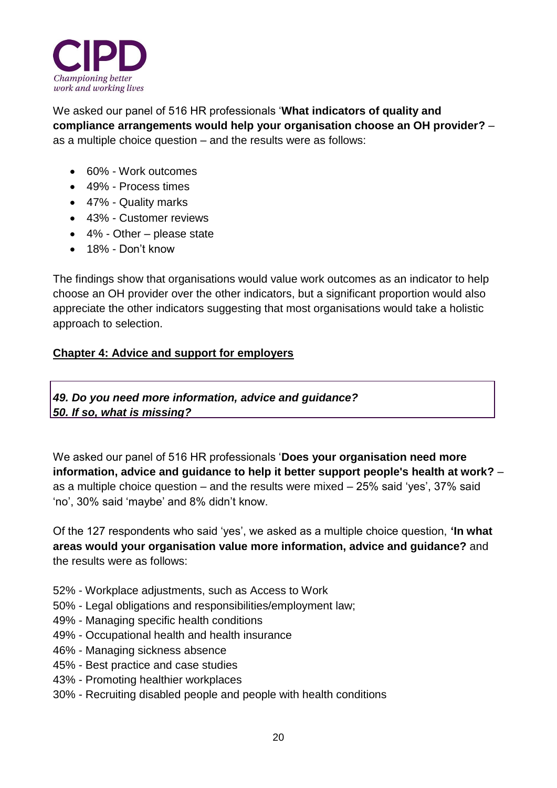

We asked our panel of 516 HR professionals '**What indicators of quality and compliance arrangements would help your organisation choose an OH provider?** – as a multiple choice question – and the results were as follows:

- 60% Work outcomes
- 49% Process times
- 47% Quality marks
- 43% Customer reviews
- 4% Other please state
- 18% Don't know

The findings show that organisations would value work outcomes as an indicator to help choose an OH provider over the other indicators, but a significant proportion would also appreciate the other indicators suggesting that most organisations would take a holistic approach to selection.

#### **Chapter 4: Advice and support for employers**

*49. Do you need more information, advice and guidance? 50. If so, what is missing?*

We asked our panel of 516 HR professionals '**Does your organisation need more information, advice and guidance to help it better support people's health at work?** – as a multiple choice question – and the results were mixed – 25% said 'yes', 37% said 'no', 30% said 'maybe' and 8% didn't know.

Of the 127 respondents who said 'yes', we asked as a multiple choice question, **'In what areas would your organisation value more information, advice and guidance?** and the results were as follows:

- 52% Workplace adjustments, such as Access to Work
- 50% Legal obligations and responsibilities/employment law;
- 49% Managing specific health conditions
- 49% Occupational health and health insurance
- 46% Managing sickness absence
- 45% Best practice and case studies
- 43% Promoting healthier workplaces
- 30% Recruiting disabled people and people with health conditions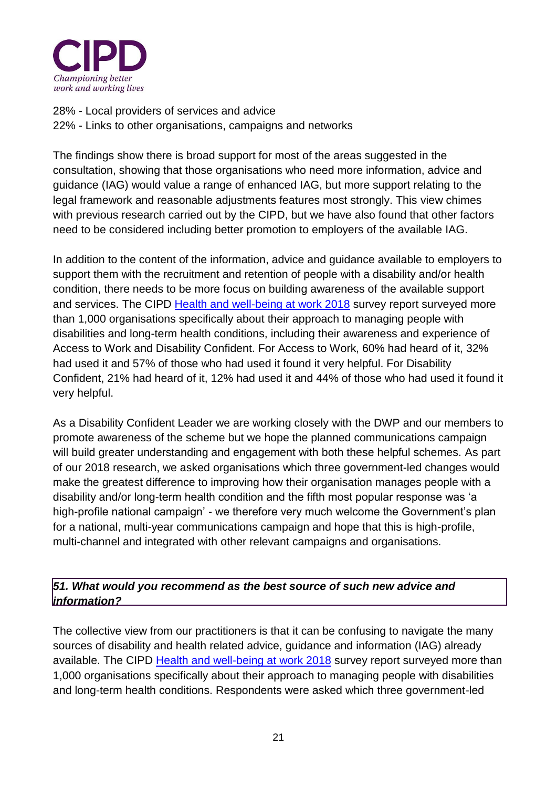

28% - Local providers of services and advice 22% - Links to other organisations, campaigns and networks

The findings show there is broad support for most of the areas suggested in the consultation, showing that those organisations who need more information, advice and guidance (IAG) would value a range of enhanced IAG, but more support relating to the legal framework and reasonable adjustments features most strongly. This view chimes with previous research carried out by the CIPD, but we have also found that other factors need to be considered including better promotion to employers of the available IAG.

In addition to the content of the information, advice and guidance available to employers to support them with the recruitment and retention of people with a disability and/or health condition, there needs to be more focus on building awareness of the available support and services. The CIPD [Health and well-being at work 2018](https://www.cipd.co.uk/Images/health-and-well-being-at-work_tcm18-40863.pdf) survey report surveyed more than 1,000 organisations specifically about their approach to managing people with disabilities and long-term health conditions, including their awareness and experience of Access to Work and Disability Confident. For Access to Work, 60% had heard of it, 32% had used it and 57% of those who had used it found it very helpful. For Disability Confident, 21% had heard of it, 12% had used it and 44% of those who had used it found it very helpful.

As a Disability Confident Leader we are working closely with the DWP and our members to promote awareness of the scheme but we hope the planned communications campaign will build greater understanding and engagement with both these helpful schemes. As part of our 2018 research, we asked organisations which three government-led changes would make the greatest difference to improving how their organisation manages people with a disability and/or long-term health condition and the fifth most popular response was 'a high-profile national campaign' - we therefore very much welcome the Government's plan for a national, multi-year communications campaign and hope that this is high-profile, multi-channel and integrated with other relevant campaigns and organisations.

#### *51. What would you recommend as the best source of such new advice and information?*

The collective view from our practitioners is that it can be confusing to navigate the many sources of disability and health related advice, guidance and information (IAG) already available. The CIPD [Health and well-being at work 2018](https://www.cipd.co.uk/Images/health-and-well-being-at-work_tcm18-40863.pdf) survey report surveyed more than 1,000 organisations specifically about their approach to managing people with disabilities and long-term health conditions. Respondents were asked which three government-led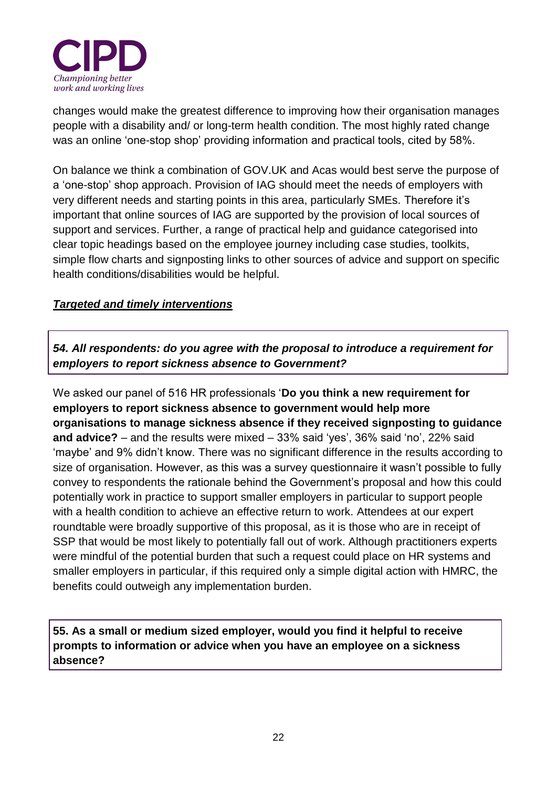

changes would make the greatest difference to improving how their organisation manages people with a disability and/ or long-term health condition. The most highly rated change was an online 'one-stop shop' providing information and practical tools, cited by 58%.

On balance we think a combination of GOV.UK and Acas would best serve the purpose of a 'one-stop' shop approach. Provision of IAG should meet the needs of employers with very different needs and starting points in this area, particularly SMEs. Therefore it's important that online sources of IAG are supported by the provision of local sources of support and services. Further, a range of practical help and guidance categorised into clear topic headings based on the employee journey including case studies, toolkits, simple flow charts and signposting links to other sources of advice and support on specific health conditions/disabilities would be helpful.

#### *Targeted and timely interventions*

*54. All respondents: do you agree with the proposal to introduce a requirement for employers to report sickness absence to Government?* 

We asked our panel of 516 HR professionals '**Do you think a new requirement for employers to report sickness absence to government would help more organisations to manage sickness absence if they received signposting to guidance and advice?** – and the results were mixed – 33% said 'yes', 36% said 'no', 22% said 'maybe' and 9% didn't know. There was no significant difference in the results according to size of organisation. However, as this was a survey questionnaire it wasn't possible to fully convey to respondents the rationale behind the Government's proposal and how this could potentially work in practice to support smaller employers in particular to support people with a health condition to achieve an effective return to work. Attendees at our expert roundtable were broadly supportive of this proposal, as it is those who are in receipt of SSP that would be most likely to potentially fall out of work. Although practitioners experts were mindful of the potential burden that such a request could place on HR systems and smaller employers in particular, if this required only a simple digital action with HMRC, the benefits could outweigh any implementation burden.

**55. As a small or medium sized employer, would you find it helpful to receive prompts to information or advice when you have an employee on a sickness absence?**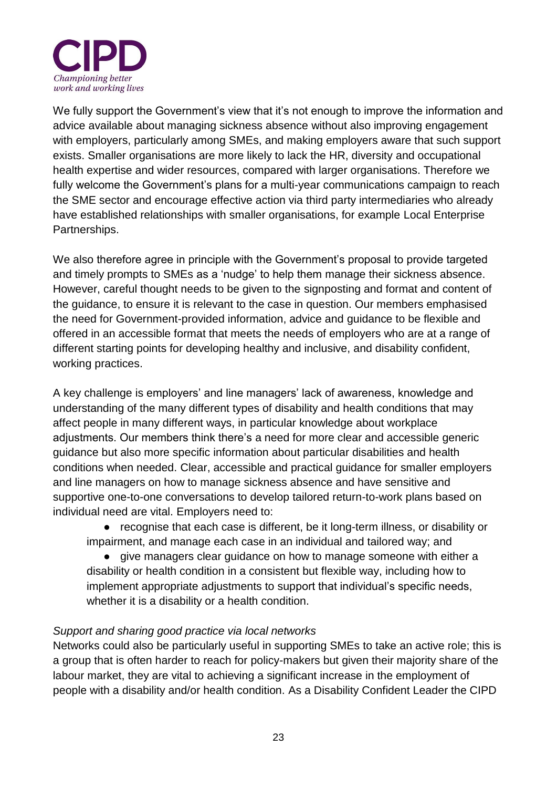

We fully support the Government's view that it's not enough to improve the information and advice available about managing sickness absence without also improving engagement with employers, particularly among SMEs, and making employers aware that such support exists. Smaller organisations are more likely to lack the HR, diversity and occupational health expertise and wider resources, compared with larger organisations. Therefore we fully welcome the Government's plans for a multi-year communications campaign to reach the SME sector and encourage effective action via third party intermediaries who already have established relationships with smaller organisations, for example Local Enterprise Partnerships.

We also therefore agree in principle with the Government's proposal to provide targeted and timely prompts to SMEs as a 'nudge' to help them manage their sickness absence. However, careful thought needs to be given to the signposting and format and content of the guidance, to ensure it is relevant to the case in question. Our members emphasised the need for Government-provided information, advice and guidance to be flexible and offered in an accessible format that meets the needs of employers who are at a range of different starting points for developing healthy and inclusive, and disability confident, working practices.

A key challenge is employers' and line managers' lack of awareness, knowledge and understanding of the many different types of disability and health conditions that may affect people in many different ways, in particular knowledge about workplace adjustments. Our members think there's a need for more clear and accessible generic guidance but also more specific information about particular disabilities and health conditions when needed. Clear, accessible and practical guidance for smaller employers and line managers on how to manage sickness absence and have sensitive and supportive one-to-one conversations to develop tailored return-to-work plans based on individual need are vital. Employers need to:

● recognise that each case is different, be it long-term illness, or disability or impairment, and manage each case in an individual and tailored way; and

● give managers clear guidance on how to manage someone with either a disability or health condition in a consistent but flexible way, including how to implement appropriate adjustments to support that individual's specific needs, whether it is a disability or a health condition.

#### *Support and sharing good practice via local networks*

Networks could also be particularly useful in supporting SMEs to take an active role; this is a group that is often harder to reach for policy-makers but given their majority share of the labour market, they are vital to achieving a significant increase in the employment of people with a disability and/or health condition. As a Disability Confident Leader the CIPD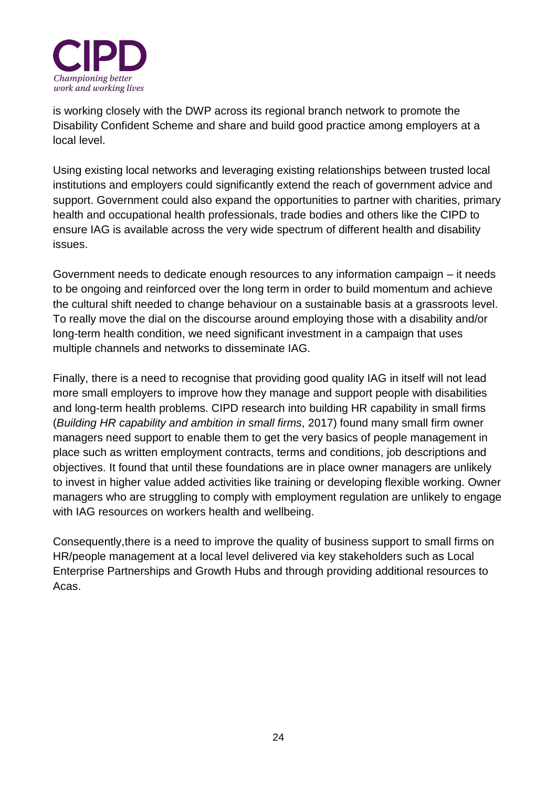

is working closely with the DWP across its regional branch network to promote the Disability Confident Scheme and share and build good practice among employers at a local level.

Using existing local networks and leveraging existing relationships between trusted local institutions and employers could significantly extend the reach of government advice and support. Government could also expand the opportunities to partner with charities, primary health and occupational health professionals, trade bodies and others like the CIPD to ensure IAG is available across the very wide spectrum of different health and disability issues.

Government needs to dedicate enough resources to any information campaign – it needs to be ongoing and reinforced over the long term in order to build momentum and achieve the cultural shift needed to change behaviour on a sustainable basis at a grassroots level. To really move the dial on the discourse around employing those with a disability and/or long-term health condition, we need significant investment in a campaign that uses multiple channels and networks to disseminate IAG.

Finally, there is a need to recognise that providing good quality IAG in itself will not lead more small employers to improve how they manage and support people with disabilities and long-term health problems. CIPD research into building HR capability in small firms (*Building HR capability and ambition in small firms*, 2017) found many small firm owner managers need support to enable them to get the very basics of people management in place such as written employment contracts, terms and conditions, job descriptions and objectives. It found that until these foundations are in place owner managers are unlikely to invest in higher value added activities like training or developing flexible working. Owner managers who are struggling to comply with employment regulation are unlikely to engage with IAG resources on workers health and wellbeing.

Consequently,there is a need to improve the quality of business support to small firms on HR/people management at a local level delivered via key stakeholders such as Local Enterprise Partnerships and Growth Hubs and through providing additional resources to Acas.